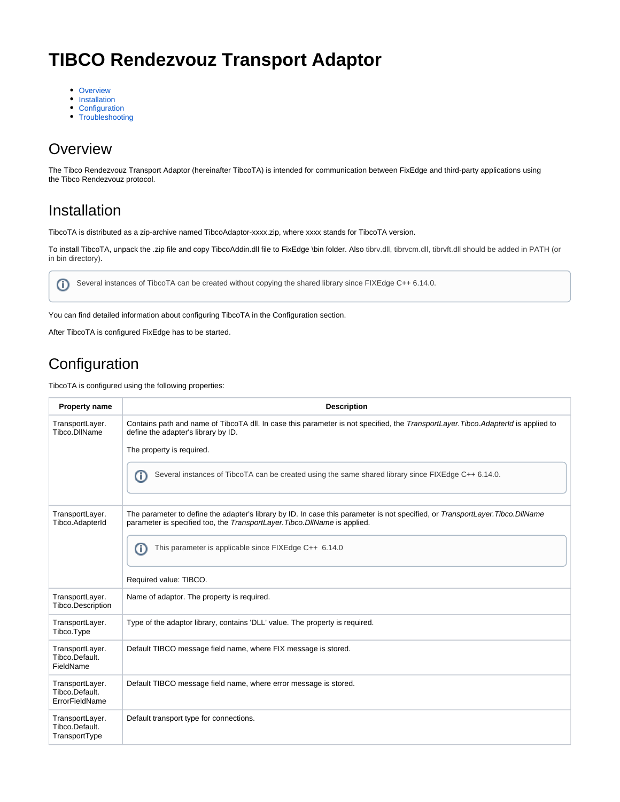# **TIBCO Rendezvouz Transport Adaptor**

- [Overview](#page-0-0)
- [Installation](#page-0-1)
- [Configuration](#page-0-2)
- [Troubleshooting](#page-4-0)

#### <span id="page-0-0"></span>**Overview**

The Tibco Rendezvouz Transport Adaptor (hereinafter TibcoTA) is intended for communication between FixEdge and third-party applications using the Tibco Rendezvouz protocol.

#### <span id="page-0-1"></span>Installation

TibcoTA is distributed as a zip-archive named TibcoAdaptor-xxxx.zip, where xxxx stands for TibcoTA version.

To install TibcoTA, unpack the .zip file and copy TibcoAddin.dll file to FixEdge \bin folder. Also tibrv.dll, tibrvcm.dll, tibrvft.dll should be added in PATH (or in bin directory).



You can find detailed information about configuring TibcoTA in the Configuration section.

After TibcoTA is configured FixEdge has to be started.

## <span id="page-0-2"></span>**Configuration**

TibcoTA is configured using the following properties:

| <b>Property name</b>                                | <b>Description</b>                                                                                                                                                                                            |
|-----------------------------------------------------|---------------------------------------------------------------------------------------------------------------------------------------------------------------------------------------------------------------|
| TransportLayer.<br>Tibco.DIIName                    | Contains path and name of TibcoTA dll. In case this parameter is not specified, the TransportLayer. Tibco. AdapterId is applied to<br>define the adapter's library by ID.<br>The property is required.        |
|                                                     |                                                                                                                                                                                                               |
|                                                     | Several instances of TibcoTA can be created using the same shared library since FIXEdge C++ 6.14.0.<br>Œ                                                                                                      |
| TransportLayer.<br>Tibco.AdapterId                  | The parameter to define the adapter's library by ID. In case this parameter is not specified, or TransportLayer. Tibco. DllName<br>parameter is specified too, the TransportLayer. Tibco. DllName is applied. |
|                                                     | This parameter is applicable since FIXEdge C++ 6.14.0<br>Œ                                                                                                                                                    |
|                                                     | Required value: TIBCO.                                                                                                                                                                                        |
| TransportLayer.<br>Tibco.Description                | Name of adaptor. The property is required.                                                                                                                                                                    |
| TransportLayer.<br>Tibco.Type                       | Type of the adaptor library, contains 'DLL' value. The property is required.                                                                                                                                  |
| TransportLayer.<br>Tibco.Default.<br>FieldName      | Default TIBCO message field name, where FIX message is stored.                                                                                                                                                |
| TransportLayer.<br>Tibco.Default.<br>ErrorFieldName | Default TIBCO message field name, where error message is stored.                                                                                                                                              |
| TransportLayer.<br>Tibco.Default.<br>TransportType  | Default transport type for connections.                                                                                                                                                                       |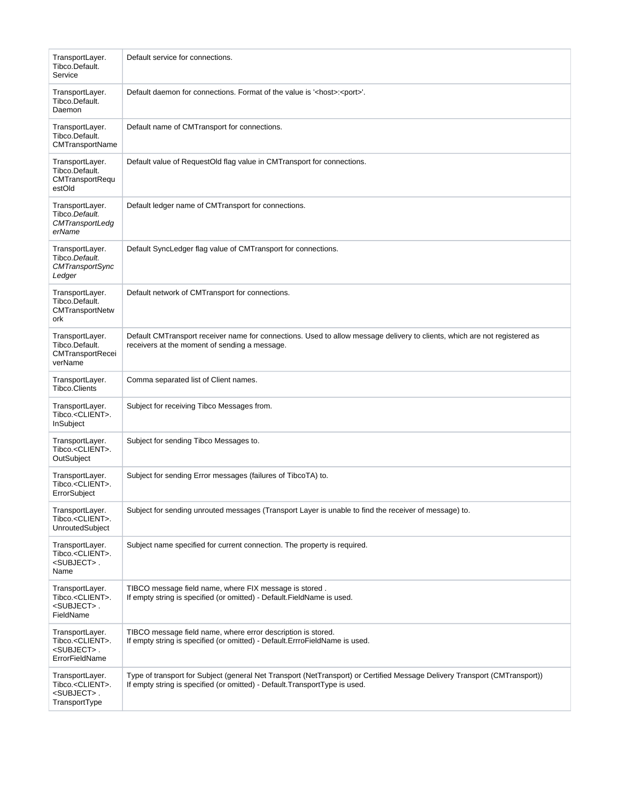| TransportLayer.<br>Tibco.Default.<br>Service                                             | Default service for connections.                                                                                                                                                                           |
|------------------------------------------------------------------------------------------|------------------------------------------------------------------------------------------------------------------------------------------------------------------------------------------------------------|
| TransportLayer.<br>Tibco.Default.<br>Daemon                                              | Default daemon for connections. Format of the value is ' <host>:<port>'.</port></host>                                                                                                                     |
| TransportLayer.<br>Tibco.Default.<br>CMTransportName                                     | Default name of CMTransport for connections.                                                                                                                                                               |
| TransportLayer.<br>Tibco.Default.<br>CMTransportRequ<br>estOld                           | Default value of RequestOld flag value in CMTransport for connections.                                                                                                                                     |
| TransportLayer.<br>Tibco.Default.<br>CMTransportLedg<br>erName                           | Default ledger name of CMTransport for connections.                                                                                                                                                        |
| TransportLayer.<br>Tibco.Default.<br><b>CMTransportSync</b><br>Ledger                    | Default SyncLedger flag value of CMTransport for connections.                                                                                                                                              |
| TransportLayer.<br>Tibco.Default.<br>CMTransportNetw<br>ork                              | Default network of CMTransport for connections.                                                                                                                                                            |
| TransportLayer.<br>Tibco.Default.<br>CMTransportRecei<br>verName                         | Default CMTransport receiver name for connections. Used to allow message delivery to clients, which are not registered as<br>receivers at the moment of sending a message.                                 |
| TransportLayer.<br><b>Tibco.Clients</b>                                                  | Comma separated list of Client names.                                                                                                                                                                      |
| TransportLayer.<br>Tibco. <client>.<br/>InSubject</client>                               | Subject for receiving Tibco Messages from.                                                                                                                                                                 |
| TransportLayer.<br>Tibco. <client>.<br/>OutSubject</client>                              | Subject for sending Tibco Messages to.                                                                                                                                                                     |
| TransportLayer.<br>Tibco. <client>.<br/>ErrorSubject</client>                            | Subject for sending Error messages (failures of TibcoTA) to.                                                                                                                                               |
| TransportLayer.<br>Tibco. <client>.<br/><b>UnroutedSubject</b></client>                  | Subject for sending unrouted messages (Transport Layer is unable to find the receiver of message) to.                                                                                                      |
| TransportLayer.<br>Tibco. <client>.<br/><subject>.<br/>Name</subject></client>           | Subject name specified for current connection. The property is required.                                                                                                                                   |
| TransportLayer.<br>Tibco. <client>.<br/><subject>.<br/>FieldName</subject></client>      | TIBCO message field name, where FIX message is stored.<br>If empty string is specified (or omitted) - Default. FieldName is used.                                                                          |
| TransportLayer.<br>Tibco. <client>.<br/><subject>.<br/>ErrorFieldName</subject></client> | TIBCO message field name, where error description is stored.<br>If empty string is specified (or omitted) - Default. ErrroFieldName is used.                                                               |
| TransportLayer.<br>Tibco. <client>.<br/><subject>.<br/>TransportType</subject></client>  | Type of transport for Subject (general Net Transport (NetTransport) or Certified Message Delivery Transport (CMTransport))<br>If empty string is specified (or omitted) - Default. Transport Type is used. |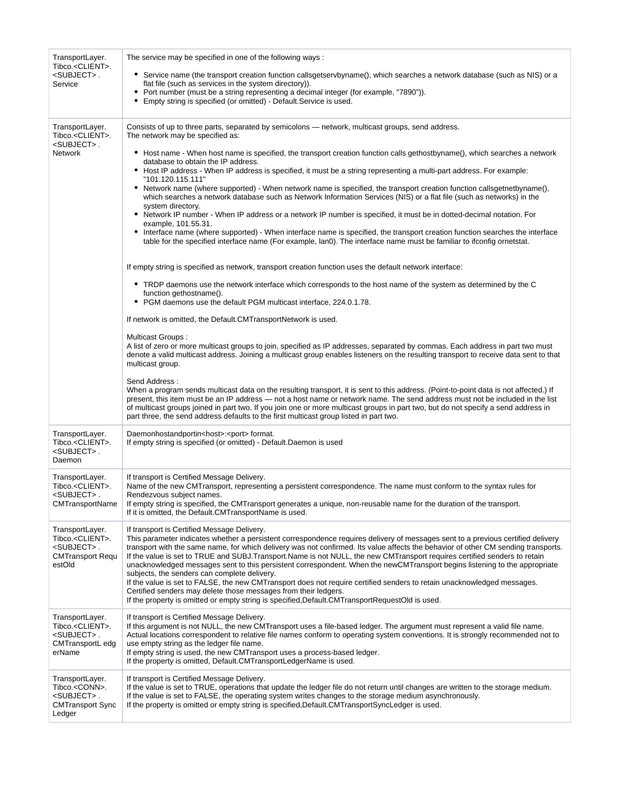| TransportLayer.<br>Tibco. <client>.<br/><subject>.<br/>Service</subject></client>                            | The service may be specified in one of the following ways:<br>• Service name (the transport creation function callsgetservbyname(), which searches a network database (such as NIS) or a<br>flat file (such as services in the system directory)).<br>• Port number (must be a string representing a decimal integer (for example, "7890")).<br>• Empty string is specified (or omitted) - Default. Service is used.                                                                                                                                                                                                                                                                                                                                                                                                                                                                                                                                                                                                                                                                                                                                                                                                                                                                                                                                                                                                                                                                                                                                                                                                                                                                                                                                                                                                                                                                                                                                                                                                                                                                                                                                                                                                                                                                                                                                                                                 |
|--------------------------------------------------------------------------------------------------------------|------------------------------------------------------------------------------------------------------------------------------------------------------------------------------------------------------------------------------------------------------------------------------------------------------------------------------------------------------------------------------------------------------------------------------------------------------------------------------------------------------------------------------------------------------------------------------------------------------------------------------------------------------------------------------------------------------------------------------------------------------------------------------------------------------------------------------------------------------------------------------------------------------------------------------------------------------------------------------------------------------------------------------------------------------------------------------------------------------------------------------------------------------------------------------------------------------------------------------------------------------------------------------------------------------------------------------------------------------------------------------------------------------------------------------------------------------------------------------------------------------------------------------------------------------------------------------------------------------------------------------------------------------------------------------------------------------------------------------------------------------------------------------------------------------------------------------------------------------------------------------------------------------------------------------------------------------------------------------------------------------------------------------------------------------------------------------------------------------------------------------------------------------------------------------------------------------------------------------------------------------------------------------------------------------------------------------------------------------------------------------------------------------|
| TransportLayer.<br>Tibco. <client>.<br/><subject>.<br/><b>Network</b></subject></client>                     | Consists of up to three parts, separated by semicolons — network, multicast groups, send address.<br>The network may be specified as:<br>• Host name - When host name is specified, the transport creation function calls gethostbyname(), which searches a network<br>database to obtain the IP address.<br>• Host IP address - When IP address is specified, it must be a string representing a multi-part address. For example:<br>"101.120.115.111"<br>• Network name (where supported) - When network name is specified, the transport creation function callsgetnetbyname(),<br>which searches a network database such as Network Information Services (NIS) or a flat file (such as networks) in the<br>system directory.<br>• Network IP number - When IP address or a network IP number is specified, it must be in dotted-decimal notation. For<br>example, 101.55.31.<br>• Interface name (where supported) - When interface name is specified, the transport creation function searches the interface<br>table for the specified interface name (For example, lan0). The interface name must be familiar to ifconfig ornetstat.<br>If empty string is specified as network, transport creation function uses the default network interface:<br>• TRDP daemons use the network interface which corresponds to the host name of the system as determined by the C<br>function gethostname().<br>• PGM daemons use the default PGM multicast interface, 224.0.1.78.<br>If network is omitted, the Default.CMTransportNetwork is used.<br><b>Multicast Groups:</b><br>A list of zero or more multicast groups to join, specified as IP addresses, separated by commas. Each address in part two must<br>denote a valid multicast address. Joining a multicast group enables listeners on the resulting transport to receive data sent to that<br>multicast group.<br>Send Address:<br>When a program sends multicast data on the resulting transport, it is sent to this address. (Point-to-point data is not affected.) If<br>present, this item must be an IP address — not a host name or network name. The send address must not be included in the list<br>of multicast groups joined in part two. If you join one or more multicast groups in part two, but do not specify a send address in<br>part three, the send address defaults to the first multicast group listed in part two. |
| TransportLayer.<br>Tibco. <client>.<br/><subject>.<br/>Daemon</subject></client>                             | Daemonhostandportin <host>:<port>format.<br/>If empty string is specified (or omitted) - Default.Daemon is used</port></host>                                                                                                                                                                                                                                                                                                                                                                                                                                                                                                                                                                                                                                                                                                                                                                                                                                                                                                                                                                                                                                                                                                                                                                                                                                                                                                                                                                                                                                                                                                                                                                                                                                                                                                                                                                                                                                                                                                                                                                                                                                                                                                                                                                                                                                                                        |
| TransportLayer.<br>Tibco. <client>.<br/><subject>.<br/>CMTransportName</subject></client>                    | If transport is Certified Message Delivery.<br>Name of the new CMTransport, representing a persistent correspondence. The name must conform to the syntax rules for<br>Rendezvous subject names.<br>If empty string is specified, the CMTransport generates a unique, non-reusable name for the duration of the transport.<br>If it is omitted, the Default.CMTransportName is used.                                                                                                                                                                                                                                                                                                                                                                                                                                                                                                                                                                                                                                                                                                                                                                                                                                                                                                                                                                                                                                                                                                                                                                                                                                                                                                                                                                                                                                                                                                                                                                                                                                                                                                                                                                                                                                                                                                                                                                                                                 |
| TransportLayer.<br>Tibco. <client>.<br/><subject>.<br/><b>CMTransport Requ</b><br/>estOld</subject></client> | If transport is Certified Message Delivery.<br>This parameter indicates whether a persistent correspondence requires delivery of messages sent to a previous certified delivery<br>transport with the same name, for which delivery was not confirmed. Its value affects the behavior of other CM sending transports.<br>If the value is set to TRUE and SUBJ.Transport.Name is not NULL, the new CMTransport requires certified senders to retain<br>unacknowledged messages sent to this persistent correspondent. When the newCMTransport begins listening to the appropriate<br>subjects, the senders can complete delivery.<br>If the value is set to FALSE, the new CMTransport does not require certified senders to retain unacknowledged messages.<br>Certified senders may delete those messages from their ledgers.<br>If the property is omitted or empty string is specified, Default. CMT ransport Request Old is used.                                                                                                                                                                                                                                                                                                                                                                                                                                                                                                                                                                                                                                                                                                                                                                                                                                                                                                                                                                                                                                                                                                                                                                                                                                                                                                                                                                                                                                                                |
| TransportLayer.<br>Tibco. <client>.<br/><subject>.<br/>CMTransportL edg<br/>erName</subject></client>        | If transport is Certified Message Delivery.<br>If this argument is not NULL, the new CMTransport uses a file-based ledger. The argument must represent a valid file name.<br>Actual locations correspondent to relative file names conform to operating system conventions. It is strongly recommended not to<br>use empty string as the ledger file name.<br>If empty string is used, the new CMTransport uses a process-based ledger.<br>If the property is omitted, Default.CMTransportLedgerName is used.                                                                                                                                                                                                                                                                                                                                                                                                                                                                                                                                                                                                                                                                                                                                                                                                                                                                                                                                                                                                                                                                                                                                                                                                                                                                                                                                                                                                                                                                                                                                                                                                                                                                                                                                                                                                                                                                                        |
| TransportLayer.<br>Tibco. <conn>.<br/><subject>.<br/><b>CMTransport Sync</b><br/>Ledger</subject></conn>     | If transport is Certified Message Delivery.<br>If the value is set to TRUE, operations that update the ledger file do not return until changes are written to the storage medium.<br>If the value is set to FALSE, the operating system writes changes to the storage medium asynchronously.<br>If the property is omitted or empty string is specified, Default. CMT ransport SyncLedger is used.                                                                                                                                                                                                                                                                                                                                                                                                                                                                                                                                                                                                                                                                                                                                                                                                                                                                                                                                                                                                                                                                                                                                                                                                                                                                                                                                                                                                                                                                                                                                                                                                                                                                                                                                                                                                                                                                                                                                                                                                   |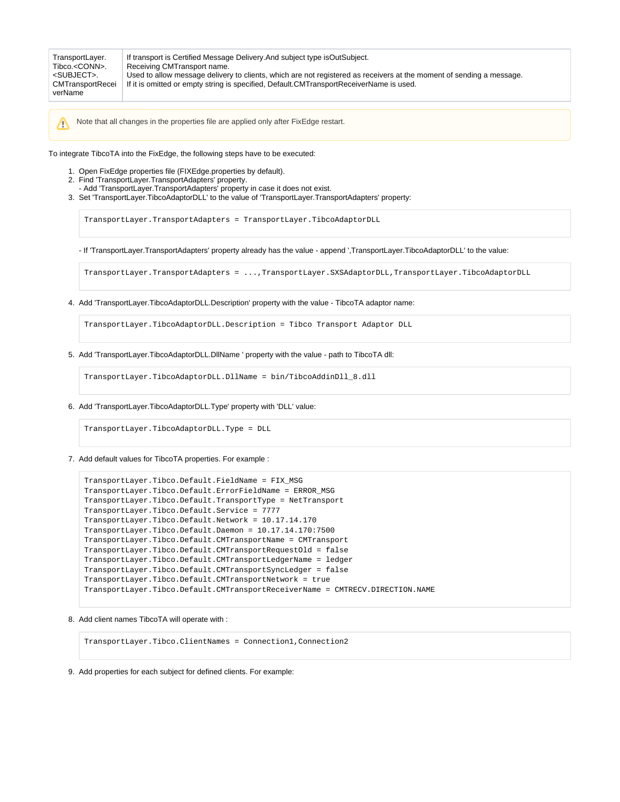Note that all changes in the properties file are applied only after FixEdge restart.

To integrate TibcoTA into the FixEdge, the following steps have to be executed:

- 1. Open FixEdge properties file (FIXEdge.properties by default).
- 2. Find 'TransportLayer.TransportAdapters' property.

╱╲

- Add 'TransportLayer.TransportAdapters' property in case it does not exist.
- 3. Set 'TransportLayer.TibcoAdaptorDLL' to the value of 'TransportLayer.TransportAdapters' property:

TransportLayer.TransportAdapters = TransportLayer.TibcoAdaptorDLL

- If 'TransportLayer.TransportAdapters' property already has the value - append ',TransportLayer.TibcoAdaptorDLL' to the value:

TransportLayer.TransportAdapters = ...,TransportLayer.SXSAdaptorDLL,TransportLayer.TibcoAdaptorDLL

4. Add 'TransportLayer.TibcoAdaptorDLL.Description' property with the value - TibcoTA adaptor name:

TransportLayer.TibcoAdaptorDLL.Description = Tibco Transport Adaptor DLL

5. Add 'TransportLayer.TibcoAdaptorDLL.DllName ' property with the value - path to TibcoTA dll:

TransportLayer.TibcoAdaptorDLL.DllName = bin/TibcoAddinDll\_8.dll

6. Add 'TransportLayer.TibcoAdaptorDLL.Type' property with 'DLL' value:

TransportLayer.TibcoAdaptorDLL.Type = DLL

7. Add default values for TibcoTA properties. For example :

```
TransportLayer.Tibco.Default.FieldName = FIX_MSG
TransportLayer.Tibco.Default.ErrorFieldName = ERROR_MSG
TransportLayer.Tibco.Default.TransportType = NetTransport
TransportLayer.Tibco.Default.Service = 7777
TransportLayer.Tibco.Default.Network = 10.17.14.170
TransportLayer.Tibco.Default.Daemon = 10.17.14.170:7500
TransportLayer.Tibco.Default.CMTransportName = CMTransport
TransportLayer.Tibco.Default.CMTransportRequestOld = false
TransportLayer.Tibco.Default.CMTransportLedgerName = ledger
TransportLayer.Tibco.Default.CMTransportSyncLedger = false
TransportLayer.Tibco.Default.CMTransportNetwork = true
TransportLayer.Tibco.Default.CMTransportReceiverName = CMTRECV.DIRECTION.NAME
```
8. Add client names TibcoTA will operate with :

TransportLayer.Tibco.ClientNames = Connection1,Connection2

9. Add properties for each subject for defined clients. For example: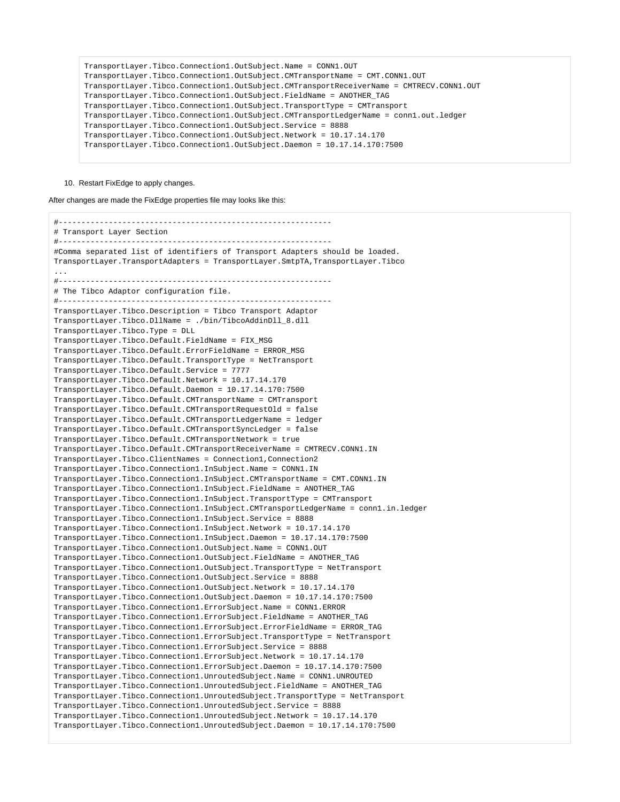```
TransportLayer.Tibco.Connection1.OutSubject.Name = CONN1.OUT
TransportLayer.Tibco.Connection1.OutSubject.CMTransportName = CMT.CONN1.OUT
TransportLayer.Tibco.Connection1.OutSubject.CMTransportReceiverName = CMTRECV.CONN1.OUT
TransportLayer.Tibco.Connection1.OutSubject.FieldName = ANOTHER_TAG
TransportLayer.Tibco.Connection1.OutSubject.TransportType = CMTransport
TransportLayer.Tibco.Connection1.OutSubject.CMTransportLedgerName = conn1.out.ledger
TransportLayer.Tibco.Connection1.OutSubject.Service = 8888
TransportLayer.Tibco.Connection1.OutSubject.Network = 10.17.14.170
TransportLayer.Tibco.Connection1.OutSubject.Daemon = 10.17.14.170:7500
```
#### 10. Restart FixEdge to apply changes.

After changes are made the FixEdge properties file may looks like this:

```
#------------------------------------------------------------
# Transport Layer Section
#------------------------------------------------------------
#Comma separated list of identifiers of Transport Adapters should be loaded. 
TransportLayer.TransportAdapters = TransportLayer.SmtpTA,TransportLayer.Tibco
...
#------------------------------------------------------------
# The Tibco Adaptor configuration file.
#------------------------------------------------------------
TransportLayer.Tibco.Description = Tibco Transport Adaptor
TransportLayer.Tibco.DllName = ./bin/TibcoAddinDll_8.dll
TransportLayer.Tibco.Type = DLL
TransportLayer.Tibco.Default.FieldName = FIX_MSG
TransportLayer.Tibco.Default.ErrorFieldName = ERROR_MSG
TransportLayer.Tibco.Default.TransportType = NetTransport
TransportLayer.Tibco.Default.Service = 7777
TransportLayer.Tibco.Default.Network = 10.17.14.170
TransportLayer.Tibco.Default.Daemon = 10.17.14.170:7500
TransportLayer.Tibco.Default.CMTransportName = CMTransport
TransportLayer.Tibco.Default.CMTransportRequestOld = false
TransportLayer.Tibco.Default.CMTransportLedgerName = ledger
TransportLayer.Tibco.Default.CMTransportSyncLedger = false
TransportLayer.Tibco.Default.CMTransportNetwork = true
TransportLayer.Tibco.Default.CMTransportReceiverName = CMTRECV.CONN1.IN
TransportLayer.Tibco.ClientNames = Connection1,Connection2
TransportLayer.Tibco.Connection1.InSubject.Name = CONN1.IN
TransportLayer.Tibco.Connection1.InSubject.CMTransportName = CMT.CONN1.IN
TransportLayer.Tibco.Connection1.InSubject.FieldName = ANOTHER_TAG
TransportLayer.Tibco.Connection1.InSubject.TransportType = CMTransport
TransportLayer.Tibco.Connection1.InSubject.CMTransportLedgerName = conn1.in.ledger
TransportLayer.Tibco.Connection1.InSubject.Service = 8888
TransportLayer.Tibco.Connection1.InSubject.Network = 10.17.14.170
TransportLayer.Tibco.Connection1.InSubject.Daemon = 10.17.14.170:7500
TransportLayer.Tibco.Connection1.OutSubject.Name = CONN1.OUT
TransportLayer.Tibco.Connection1.OutSubject.FieldName = ANOTHER_TAG
TransportLayer.Tibco.Connection1.OutSubject.TransportType = NetTransport
TransportLayer.Tibco.Connection1.OutSubject.Service = 8888
TransportLayer.Tibco.Connection1.OutSubject.Network = 10.17.14.170
TransportLayer.Tibco.Connection1.OutSubject.Daemon = 10.17.14.170:7500
TransportLayer.Tibco.Connection1.ErrorSubject.Name = CONN1.ERROR
TransportLayer.Tibco.Connection1.ErrorSubject.FieldName = ANOTHER_TAG
TransportLayer.Tibco.Connection1.ErrorSubject.ErrorFieldName = ERROR_TAG
TransportLayer.Tibco.Connection1.ErrorSubject.TransportType = NetTransport
TransportLayer.Tibco.Connection1.ErrorSubject.Service = 8888
TransportLayer.Tibco.Connection1.ErrorSubject.Network = 10.17.14.170
TransportLayer.Tibco.Connection1.ErrorSubject.Daemon = 10.17.14.170:7500
TransportLayer.Tibco.Connection1.UnroutedSubject.Name = CONN1.UNROUTED
TransportLayer.Tibco.Connection1.UnroutedSubject.FieldName = ANOTHER_TAG
TransportLayer.Tibco.Connection1.UnroutedSubject.TransportType = NetTransport
TransportLayer.Tibco.Connection1.UnroutedSubject.Service = 8888
TransportLayer.Tibco.Connection1.UnroutedSubject.Network = 10.17.14.170
TransportLayer.Tibco.Connection1.UnroutedSubject.Daemon = 10.17.14.170:7500
```